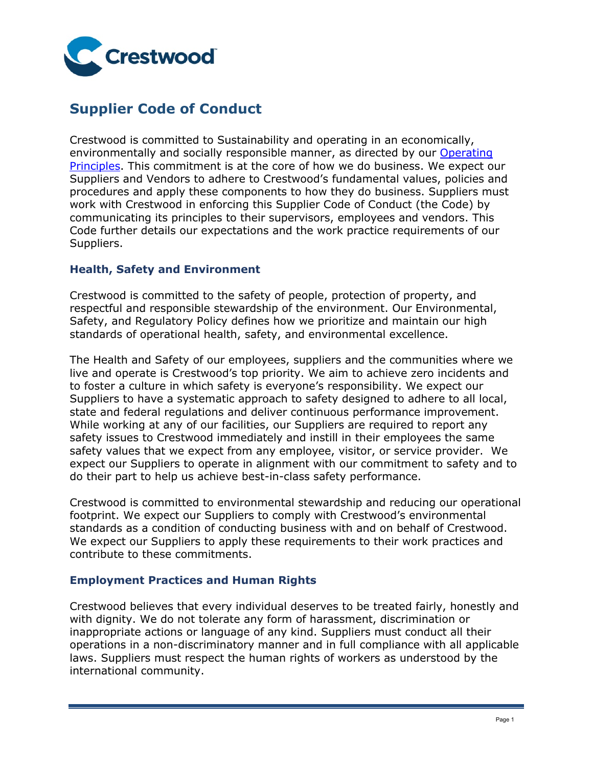

# **Supplier Code of Conduct**

Crestwood is committed to Sustainability and operating in an economically, environmentally and socially responsible manner, as directed by our [Operating](https://s2.q4cdn.com/398504439/files/doc_downloads/safety/Chief-Executive-Commitment_8-pager_181106.pdf)  [Principles.](https://s2.q4cdn.com/398504439/files/doc_downloads/safety/Chief-Executive-Commitment_8-pager_181106.pdf) This commitment is at the core of how we do business. We expect our Suppliers and Vendors to adhere to Crestwood's fundamental values, policies and procedures and apply these components to how they do business. Suppliers must work with Crestwood in enforcing this Supplier Code of Conduct (the Code) by communicating its principles to their supervisors, employees and vendors. This Code further details our expectations and the work practice requirements of our Suppliers.

# **Health, Safety and Environment**

Crestwood is committed to the safety of people, protection of property, and respectful and responsible stewardship of the environment. Our Environmental, Safety, and Regulatory Policy defines how we prioritize and maintain our high standards of operational health, safety, and environmental excellence.

The Health and Safety of our employees, suppliers and the communities where we live and operate is Crestwood's top priority. We aim to achieve zero incidents and to foster a culture in which safety is everyone's responsibility. We expect our Suppliers to have a systematic approach to safety designed to adhere to all local, state and federal regulations and deliver continuous performance improvement. While working at any of our facilities, our Suppliers are required to report any safety issues to Crestwood immediately and instill in their employees the same safety values that we expect from any employee, visitor, or service provider. We expect our Suppliers to operate in alignment with our commitment to safety and to do their part to help us achieve best-in-class safety performance.

Crestwood is committed to environmental stewardship and reducing our operational footprint. We expect our Suppliers to comply with Crestwood's environmental standards as a condition of conducting business with and on behalf of Crestwood. We expect our Suppliers to apply these requirements to their work practices and contribute to these commitments.

## **Employment Practices and Human Rights**

Crestwood believes that every individual deserves to be treated fairly, honestly and with dignity. We do not tolerate any form of harassment, discrimination or inappropriate actions or language of any kind. Suppliers must conduct all their operations in a non-discriminatory manner and in full compliance with all applicable laws. Suppliers must respect the human rights of workers as understood by the international community.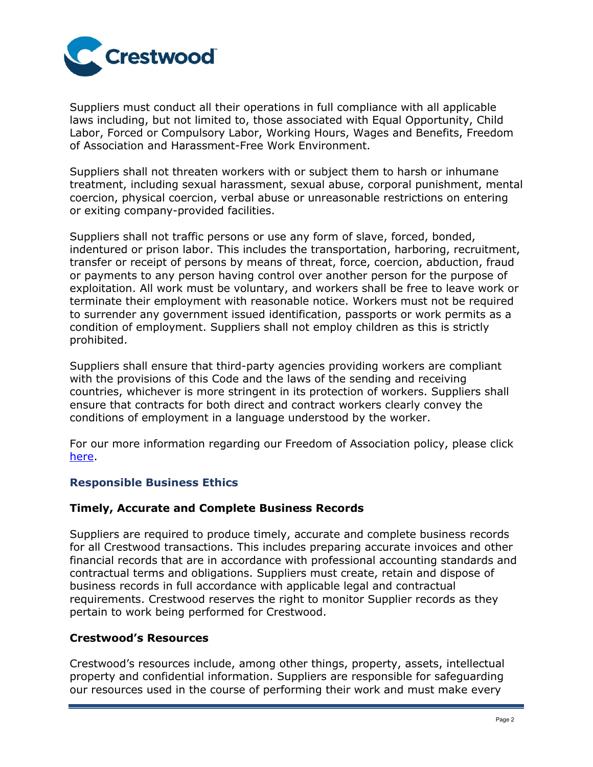

Suppliers must conduct all their operations in full compliance with all applicable laws including, but not limited to, those associated with Equal Opportunity, Child Labor, Forced or Compulsory Labor, Working Hours, Wages and Benefits, Freedom of Association and Harassment-Free Work Environment.

Suppliers shall not threaten workers with or subject them to harsh or inhumane treatment, including sexual harassment, sexual abuse, corporal punishment, mental coercion, physical coercion, verbal abuse or unreasonable restrictions on entering or exiting company-provided facilities.

Suppliers shall not traffic persons or use any form of slave, forced, bonded, indentured or prison labor. This includes the transportation, harboring, recruitment, transfer or receipt of persons by means of threat, force, coercion, abduction, fraud or payments to any person having control over another person for the purpose of exploitation. All work must be voluntary, and workers shall be free to leave work or terminate their employment with reasonable notice. Workers must not be required to surrender any government issued identification, passports or work permits as a condition of employment. Suppliers shall not employ children as this is strictly prohibited.

Suppliers shall ensure that third-party agencies providing workers are compliant with the provisions of this Code and the laws of the sending and receiving countries, whichever is more stringent in its protection of workers. Suppliers shall ensure that contracts for both direct and contract workers clearly convey the conditions of employment in a language understood by the worker.

For our more information regarding our Freedom of Association policy, please click [here.](https://s2.q4cdn.com/398504439/files/doc_downloads/2020/03/Professional-Associations-Policy.pdf)

# **Responsible Business Ethics**

## **Timely, Accurate and Complete Business Records**

Suppliers are required to produce timely, accurate and complete business records for all Crestwood transactions. This includes preparing accurate invoices and other financial records that are in accordance with professional accounting standards and contractual terms and obligations. Suppliers must create, retain and dispose of business records in full accordance with applicable legal and contractual requirements. Crestwood reserves the right to monitor Supplier records as they pertain to work being performed for Crestwood.

## **Crestwood's Resources**

Crestwood's resources include, among other things, property, assets, intellectual property and confidential information. Suppliers are responsible for safeguarding our resources used in the course of performing their work and must make every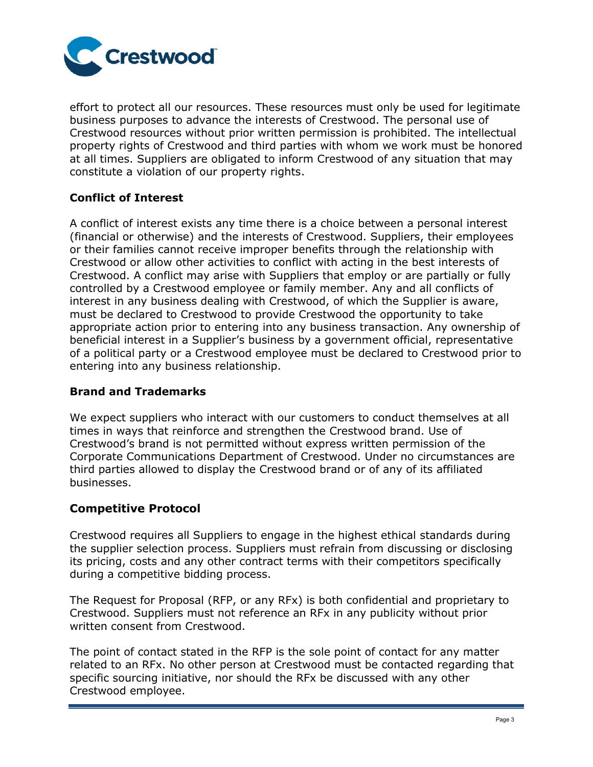

effort to protect all our resources. These resources must only be used for legitimate business purposes to advance the interests of Crestwood. The personal use of Crestwood resources without prior written permission is prohibited. The intellectual property rights of Crestwood and third parties with whom we work must be honored at all times. Suppliers are obligated to inform Crestwood of any situation that may constitute a violation of our property rights.

# **Conflict of Interest**

A conflict of interest exists any time there is a choice between a personal interest (financial or otherwise) and the interests of Crestwood. Suppliers, their employees or their families cannot receive improper benefits through the relationship with Crestwood or allow other activities to conflict with acting in the best interests of Crestwood. A conflict may arise with Suppliers that employ or are partially or fully controlled by a Crestwood employee or family member. Any and all conflicts of interest in any business dealing with Crestwood, of which the Supplier is aware, must be declared to Crestwood to provide Crestwood the opportunity to take appropriate action prior to entering into any business transaction. Any ownership of beneficial interest in a Supplier's business by a government official, representative of a political party or a Crestwood employee must be declared to Crestwood prior to entering into any business relationship.

# **Brand and Trademarks**

We expect suppliers who interact with our customers to conduct themselves at all times in ways that reinforce and strengthen the Crestwood brand. Use of Crestwood's brand is not permitted without express written permission of the Corporate Communications Department of Crestwood. Under no circumstances are third parties allowed to display the Crestwood brand or of any of its affiliated businesses.

# **Competitive Protocol**

Crestwood requires all Suppliers to engage in the highest ethical standards during the supplier selection process. Suppliers must refrain from discussing or disclosing its pricing, costs and any other contract terms with their competitors specifically during a competitive bidding process.

The Request for Proposal (RFP, or any RFx) is both confidential and proprietary to Crestwood. Suppliers must not reference an RFx in any publicity without prior written consent from Crestwood.

The point of contact stated in the RFP is the sole point of contact for any matter related to an RFx. No other person at Crestwood must be contacted regarding that specific sourcing initiative, nor should the RFx be discussed with any other Crestwood employee.